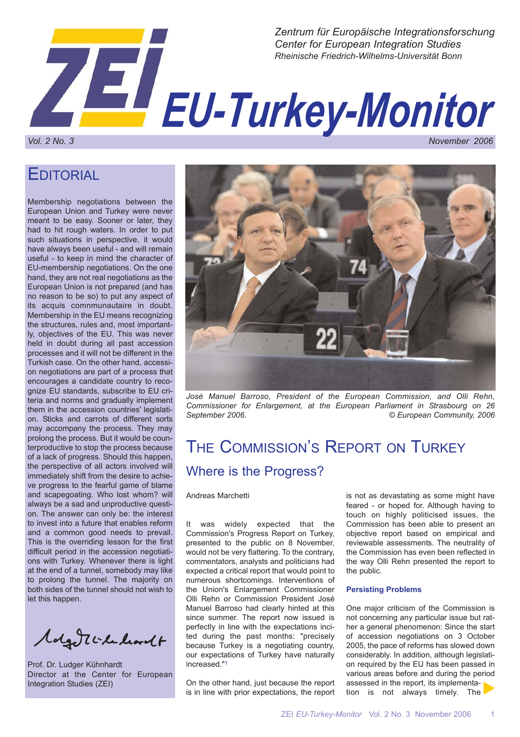

## **EDITORIAL**

Membership negotiations between the European Union and Turkey were never meant to be easy. Sooner or later, they had to hit rough waters. In order to put such situations in perspective, it would have always been useful - and will remain useful - to keep in mind the character of EU-membership negotiations. On the one hand, they are not real negotiations as the European Union is not prepared (and has no reason to be so) to put any aspect of its acquis comnmunautaire in doubt. Membership in the EU means recognizing the structures, rules and, most importantly, objectives of the EU. This was never held in doubt during all past accession processes and it will not be different in the Turkish case. On the other hand, accession negotiations are part of a process that encourages a candidate country to recognize EU standards, subscribe to EU criteria and norms and gradually implement them in the accession countries' legislation. Sticks and carrots of different sorts may accompany the process. They may prolong the process. But it would be counterproductive to stop the process because of a lack of progress. Should this happen, the perspective of all actors involved will immediately shift from the desire to achieve progress to the fearful game of blame and scapegoating. Who lost whom? will always be a sad and unproductive question. The answer can only be: the interest to invest into a future that enables reform and a common good needs to prevail. This is the overriding lesson for the first difficult period in the accession negotiations with Turkey. Whenever there is light at the end of a tunnel, somebody may like to prolong the tunnel. The majority on both sides of the tunnel should not wish to let this happen.

Molgott checkordt

Prof. Dr. Ludger Kühnhardt Director at the Center for European Integration Studies (ZEI)



*José Manuel Barroso, President of the European Commission, and Olli Rehn, Commissioner for Enlargement, at the European Parliament in Strasbourg on 26 September 2006. © European Community, 2006*

# THE COMMISSION'S REPORT ON TURKEY Where is the Progress?

Andreas Marchetti

It was widely expected that the Commission's Progress Report on Turkey, presented to the public on 8 November, would not be very flattering. To the contrary, commentators, analysts and politicians had expected a critical report that would point to numerous shortcomings. Interventions of the Union's Enlargement Commissioner Olli Rehn or Commission President José Manuel Barroso had clearly hinted at this since summer. The report now issued is perfectly in line with the expectations incited during the past months: "precisely because Turkey is a negotiating country, our expectations of Turkey have naturally increased."1

On the other hand, just because the report is in line with prior expectations, the report

is not as devastating as some might have feared - or hoped for. Although having to touch on highly politicised issues, the Commission has been able to present an objective report based on empirical and reviewable assessments. The neutrality of the Commission has even been reflected in the way Olli Rehn presented the report to the public.

### **Persisting Problems**

One major criticism of the Commission is not concerning any particular issue but rather a general phenomenon: Since the start of accession negotiations on 3 October 2005, the pace of reforms has slowed down considerably. In addition, although legislation required by the EU has been passed in various areas before and during the period assessed in the report, its implementation is not always timely. The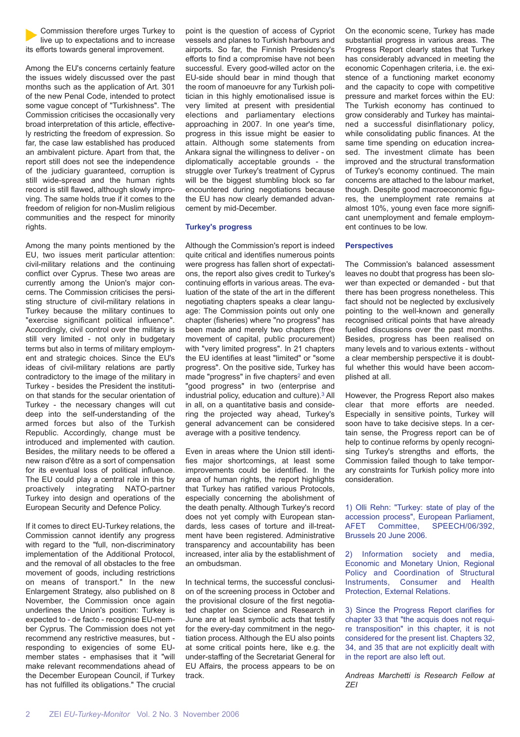Commission therefore urges Turkey to live up to expectations and to increase its efforts towards general improvement.

Among the EU's concerns certainly feature the issues widely discussed over the past months such as the application of Art. 301 of the new Penal Code, intended to protect some vague concept of "Turkishness". The Commission criticises the occasionally very broad interpretation of this article, effectively restricting the freedom of expression. So far, the case law established has produced an ambivalent picture. Apart from that, the report still does not see the independence of the judiciary guaranteed, corruption is still wide-spread and the human rights record is still flawed, although slowly improving. The same holds true if it comes to the freedom of religion for non-Muslim religious communities and the respect for minority rights.

Among the many points mentioned by the EU, two issues merit particular attention: civil-military relations and the continuing conflict over Cyprus. These two areas are currently among the Union's major concerns. The Commission criticises the persisting structure of civil-military relations in Turkey because the military continues to "exercise significant political influence". Accordingly, civil control over the military is still very limited - not only in budgetary terms but also in terms of military employment and strategic choices. Since the EU's ideas of civil-military relations are partly contradictory to the image of the military in Turkey - besides the President the institution that stands for the secular orientation of Turkey - the necessary changes will cut deep into the self-understanding of the armed forces but also of the Turkish Republic. Accordingly, change must be introduced and implemented with caution. Besides, the military needs to be offered a new raison d'être as a sort of compensation for its eventual loss of political influence. The EU could play a central role in this by proactively integrating NATO-partner Turkey into design and operations of the European Security and Defence Policy.

If it comes to direct EU-Turkey relations, the Commission cannot identify any progress with regard to the "full, non-discriminatory implementation of the Additional Protocol, and the removal of all obstacles to the free movement of goods, including restrictions on means of transport." In the new Enlargement Strategy, also published on 8 November, the Commission once again underlines the Union's position: Turkey is expected to - de facto - recognise EU-member Cyprus. The Commission does not yet recommend any restrictive measures, but responding to exigencies of some EUmember states - emphasises that it "will make relevant recommendations ahead of the December European Council, if Turkey has not fulfilled its obligations." The crucial

point is the question of access of Cypriot vessels and planes to Turkish harbours and airports. So far, the Finnish Presidency's efforts to find a compromise have not been successful. Every good-willed actor on the EU-side should bear in mind though that the room of manoeuvre for any Turkish politician in this highly emotionalised issue is very limited at present with presidential elections and parliamentary elections approaching in 2007. In one year's time, progress in this issue might be easier to attain. Although some statements from Ankara signal the willingness to deliver - on diplomatically acceptable grounds - the struggle over Turkey's treatment of Cyprus will be the biggest stumbling block so far encountered during negotiations because the EU has now clearly demanded advancement by mid-December.

### **Turkey's progress**

Although the Commission's report is indeed quite critical and identifies numerous points were progress has fallen short of expectations, the report also gives credit to Turkey's continuing efforts in various areas. The evaluation of the state of the art in the different negotiating chapters speaks a clear language: The Commission points out only one chapter (fisheries) where "no progress" has been made and merely two chapters (free movement of capital, public procurement) with "very limited progress". In 21 chapters the EU identifies at least "limited" or "some progress". On the positive side, Turkey has made "progress" in five chapters2 and even "good progress" in two (enterprise and industrial policy, education and culture).3 All in all, on a quantitative basis and considering the projected way ahead, Turkey's general advancement can be considered average with a positive tendency.

Even in areas where the Union still identifies major shortcomings, at least some improvements could be identified. In the area of human rights, the report highlights that Turkey has ratified various Protocols, especially concerning the abolishment of the death penalty. Although Turkey's record does not yet comply with European standards, less cases of torture and ill-treatment have been registered. Administrative transparency and accountability has been increased, inter alia by the establishment of an ombudsman.

In technical terms, the successful conclusion of the screening process in October and the provisional closure of the first negotiated chapter on Science and Research in June are at least symbolic acts that testify for the every-day commitment in the negotiation process. Although the EU also points at some critical points here, like e.g. the under-staffing of the Secretariat General for EU Affairs, the process appears to be on track.

On the economic scene, Turkey has made substantial progress in various areas. The Progress Report clearly states that Turkey has considerably advanced in meeting the economic Copenhagen criteria, i.e. the existence of a functioning market economy and the capacity to cope with competitive pressure and market forces within the EU: The Turkish economy has continued to grow considerably and Turkey has maintained a successful disinflationary policy, while consolidating public finances. At the same time spending on education increased. The investment climate has been improved and the structural transformation of Turkey's economy continued. The main concerns are attached to the labour market, though. Despite good macroeconomic figures, the unemployment rate remains at almost 10%, young even face more significant unemployment and female employment continues to be low.

#### **Perspectives**

The Commission's balanced assessment leaves no doubt that progress has been slower than expected or demanded - but that there has been progress nonetheless. This fact should not be neglected by exclusively pointing to the well-known and generally recognised critical points that have already fuelled discussions over the past months. Besides, progress has been realised on many levels and to various extents - without a clear membership perspective it is doubtful whether this would have been accomplished at all.

However, the Progress Report also makes clear that more efforts are needed. Especially in sensitive points, Turkey will soon have to take decisive steps. In a certain sense, the Progress report can be of help to continue reforms by openly recognising Turkey's strengths and efforts, the Commission failed though to take temporary constraints for Turkish policy more into consideration.

1) Olli Rehn: "Turkey: state of play of the accession process", European Parliament, AFET Committee, SPEECH/06/392, Brussels 20 June 2006.

2) Information society and media, Economic and Monetary Union, Regional Policy and Coordination of Structural Instruments, Consumer and Health Protection, External Relations.

3) Since the Progress Report clarifies for chapter 33 that "the acquis does not require transposition" in this chapter, it is not considered for the present list. Chapters 32, 34, and 35 that are not explicitly dealt with in the report are also left out.

*Andreas Marchetti is Research Fellow at ZEI*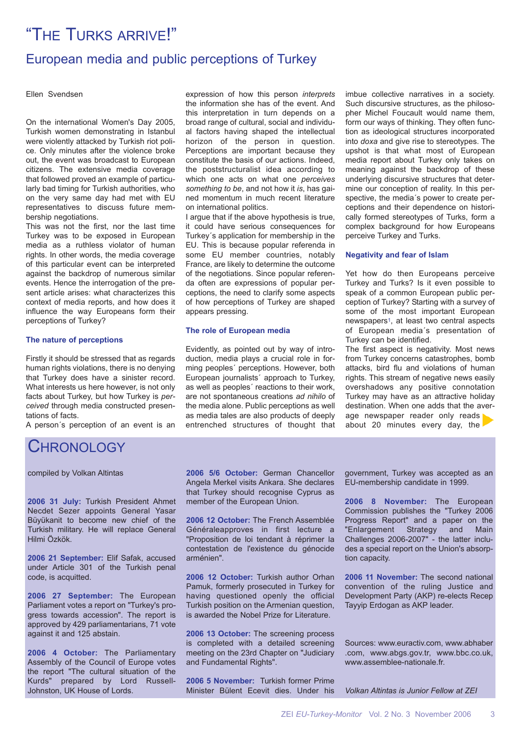# "THE TURKS ARRIVE!"

### European media and public perceptions of Turkey

Ellen Svendsen

On the international Women's Day 2005, Turkish women demonstrating in Istanbul were violently attacked by Turkish riot police. Only minutes after the violence broke out, the event was broadcast to European citizens. The extensive media coverage that followed proved an example of particularly bad timing for Turkish authorities, who on the very same day had met with EU representatives to discuss future membership negotiations.

This was not the first, nor the last time Turkey was to be exposed in European media as a ruthless violator of human rights. In other words, the media coverage of this particular event can be interpreted against the backdrop of numerous similar events. Hence the interrogation of the present article arises: what characterizes this context of media reports, and how does it influence the way Europeans form their perceptions of Turkey?

### **The nature of perceptions**

Firstly it should be stressed that as regards human rights violations, there is no denying that Turkey does have a sinister record. What interests us here however, is not only facts about Turkey, but how Turkey is *perceived* through media constructed presentations of facts.

A person´s perception of an event is an

### CHRONOLOGY

compiled by Volkan Altintas

**2006 31 July:** Turkish President Ahmet Necdet Sezer appoints General Yasar Büyükanit to become new chief of the Turkish military. He will replace General Hilmi Özkök.

**2006 21 September:** Elif Safak, accused under Article 301 of the Turkish penal code, is acquitted.

**2006 27 September:** The European Parliament votes a report on "Turkey's progress towards accession". The report is approved by 429 parliamentarians, 71 vote against it and 125 abstain.

**2006 4 October:** The Parliamentary Assembly of the Council of Europe votes the report "The cultural situation of the Kurds" prepared by Lord Russell-Johnston, UK House of Lords.

expression of how this person *interprets* the information she has of the event. And this interpretation in turn depends on a broad range of cultural, social and individual factors having shaped the intellectual horizon of the person in question. Perceptions are important because they constitute the basis of our actions. Indeed, the poststructuralist idea according to which one acts on what one *perceives something to be*, and not how it *is*, has gained momentum in much recent literature on international politics.

I argue that if the above hypothesis is true, it could have serious consequences for Turkey´s application for membership in the EU. This is because popular referenda in some EU member countries, notably France, are likely to determine the outcome of the negotiations. Since popular referenda often are expressions of popular perceptions, the need to clarify some aspects of how perceptions of Turkey are shaped appears pressing.

### **The role of European media**

Evidently, as pointed out by way of introduction, media plays a crucial role in forming peoples´ perceptions. However, both European journalists´ approach to Turkey, as well as peoples´ reactions to their work, are not spontaneous creations *ad nihilo* of the media alone. Public perceptions as well as media tales are also products of deeply entrenched structures of thought that imbue collective narratives in a society. Such discursive structures, as the philosopher Michel Foucault would name them, form our ways of thinking. They often function as ideological structures incorporated into *doxa* and give rise to stereotypes. The upshot is that what most of European media report about Turkey only takes on meaning against the backdrop of these underlying discursive structures that determine our conception of reality. In this perspective, the media´s power to create perceptions and their dependence on historically formed stereotypes of Turks, form a complex background for how Europeans perceive Turkey and Turks.

#### **Negativity and fear of Islam**

Yet how do then Europeans perceive Turkey and Turks? Is it even possible to speak of a common European public perception of Turkey? Starting with a survey of some of the most important European newspapers1, at least two central aspects of European media´s presentation of Turkey can be identified.

The first aspect is negativity. Most news from Turkey concerns catastrophes, bomb attacks, bird flu and violations of human rights. This stream of negative news easily overshadows any positive connotation Turkey may have as an attractive holiday destination. When one adds that the average newspaper reader only reads about 20 minutes every day, the

**2006 5/6 October:** German Chancellor Angela Merkel visits Ankara. She declares that Turkey should recognise Cyprus as member of the European Union.

**2006 12 October:** The French Assemblée Généraleapproves in first lecture a "Proposition de loi tendant à réprimer la contestation de l'existence du génocide arménien".

**2006 12 October:** Turkish author Orhan Pamuk, formerly prosecuted in Turkey for having questioned openly the official Turkish position on the Armenian question, is awarded the Nobel Prize for Literature.

**2006 13 October:** The screening process is completed with a detailed screening meeting on the 23rd Chapter on "Judiciary and Fundamental Rights".

**2006 5 November:** Turkish former Prime Minister Bülent Ecevit dies. Under his government, Turkey was accepted as an EU-membership candidate in 1999.

**2006 8 November:** The European Commission publishes the "Turkey 2006 Progress Report" and a paper on the "Enlargement Strategy and Main Challenges 2006-2007" - the latter includes a special report on the Union's absorption capacity.

**2006 11 November:** The second national convention of the ruling Justice and Development Party (AKP) re-elects Recep Tayyip Erdogan as AKP leader.

Sources: www.euractiv.com, www.abhaber .com, www.abgs.gov.tr, www.bbc.co.uk, www.assemblee-nationale.fr.

*Volkan Altintas is Junior Fellow at ZEI*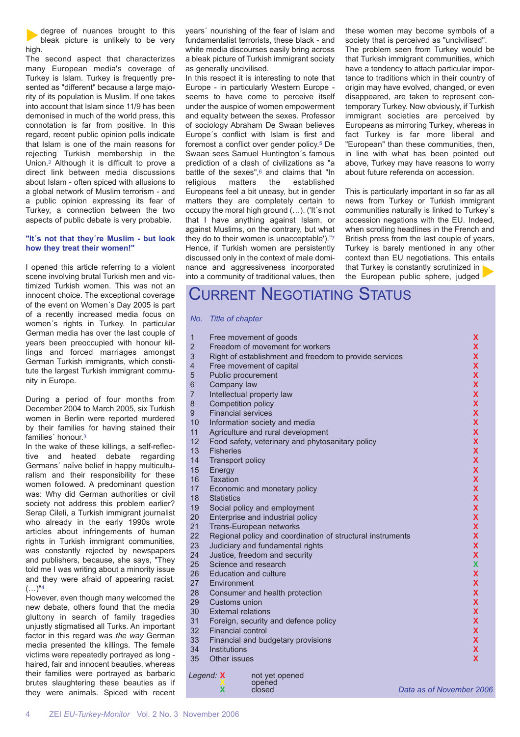degree of nuances brought to this bleak picture is unlikely to be very high.

The second aspect that characterizes many European media's coverage of Turkey is Islam. Turkey is frequently presented as "different" because a large majority of its population is Muslim. If one takes into account that Islam since 11/9 has been demonised in much of the world press, this connotation is far from positive. In this regard, recent public opinion polls indicate that Islam is one of the main reasons for rejecting Turkish membership in the Union.2 Although it is difficult to prove a direct link between media discussions about Islam - often spiced with allusions to a global network of Muslim terrorism - and a public opinion expressing its fear of Turkey, a connection between the two aspects of public debate is very probable.

### **"It´s not that they´re Muslim - but look how they treat their women!"**

I opened this article referring to a violent scene involving brutal Turkish men and victimized Turkish women. This was not an innocent choice. The exceptional coverage of the event on Women´s Day 2005 is part of a recently increased media focus on women´s rights in Turkey. In particular German media has over the last couple of years been preoccupied with honour killings and forced marriages amongst German Turkish immigrants, which constitute the largest Turkish immigrant community in Europe.

During a period of four months from December 2004 to March 2005, six Turkish women in Berlin were reported murdered by their families for having stained their families´ honour.3

In the wake of these killings, a self-reflective and heated debate regarding Germans´ naïve belief in happy multiculturalism and their responsibility for these women followed. A predominant question was: Why did German authorities or civil society not address this problem earlier? Serap Cileli, a Turkish immigrant journalist who already in the early 1990s wrote articles about infringements of human rights in Turkish immigrant communities, was constantly rejected by newspapers and publishers, because, she says, "They told me I was writing about a minority issue and they were afraid of appearing racist.  $(...)^{n_4}$ 

However, even though many welcomed the new debate, others found that the media gluttony in search of family tragedies unjustly stigmatised all Turks. An important factor in this regard was *the way* German media presented the killings. The female victims were repeatedly portrayed as long haired, fair and innocent beauties, whereas their families were portrayed as barbaric brutes slaughtering these beauties as if they were animals. Spiced with recent years´ nourishing of the fear of Islam and fundamentalist terrorists, these black - and white media discourses easily bring across a bleak picture of Turkish immigrant society as generally uncivilised.

In this respect it is interesting to note that Europe - in particularly Western Europe seems to have come to perceive itself under the auspice of women empowerment and equality between the sexes. Professor of sociology Abraham De Swaan believes Europe´s conflict with Islam is first and foremost a conflict over gender policy.5 De Swaan sees Samuel Huntington´s famous prediction of a clash of civilizations as "a battle of the sexes",<sup>6</sup> and claims that "In religious matters the established Europeans feel a bit uneasy, but in gender matters they are completely certain to occupy the moral high ground (…). ('It´s not that I have anything against Islam, or against Muslims, on the contrary, but what they do to their women is unacceptable')."7 Hence, if Turkish women are persistently discussed only in the context of male dominance and aggressiveness incorporated into a community of traditional values, then these women may become symbols of a society that is perceived as "uncivilised".

The problem seen from Turkey would be that Turkish immigrant communities, which have a tendency to attach particular importance to traditions which in their country of origin may have evolved, changed, or even disappeared, are taken to represent contemporary Turkey. Now obviously, if Turkish immigrant societies are perceived by Europeans as mirroring Turkey, whereas in fact Turkey is far more liberal and "European" than these communities, then, in line with what has been pointed out above, Turkey may have reasons to worry about future referenda on accession.

This is particularly important in so far as all news from Turkey or Turkish immigrant communities naturally is linked to Turkey´s accession negations with the EU. Indeed, when scrolling headlines in the French and British press from the last couple of years, Turkey is barely mentioned in any other context than EU negotiations. This entails that Turkey is constantly scrutinized in the European public sphere, judged

## CURRENT NEGOTIATING STATUS

#### *No. Title of chapter*

|                             | $\mathbf{1}$            | Free movement of goods                                     | x                        |
|-----------------------------|-------------------------|------------------------------------------------------------|--------------------------|
|                             | $\overline{2}$          | Freedom of movement for workers                            | x                        |
|                             | 3                       | Right of establishment and freedom to provide services     | X                        |
|                             | $\overline{\mathbf{4}}$ | Free movement of capital                                   | X                        |
|                             | 5                       | Public procurement                                         | X                        |
|                             | 6                       | Company law                                                | X                        |
|                             | $\overline{7}$          | Intellectual property law                                  | X                        |
|                             | 8                       | Competition policy                                         | X                        |
|                             | 9                       | <b>Financial services</b>                                  | X                        |
|                             | 10                      | Information society and media                              | X                        |
|                             | 11                      | Agriculture and rural development                          | X                        |
|                             | 12                      | Food safety, veterinary and phytosanitary policy           | X                        |
|                             | 13                      | <b>Fisheries</b>                                           | X                        |
|                             | 14                      | <b>Transport policy</b>                                    | X                        |
|                             | 15                      | Energy                                                     | X                        |
|                             | 16                      | Taxation                                                   | X                        |
|                             | 17                      | Economic and monetary policy                               | X                        |
|                             | 18                      | <b>Statistics</b>                                          | X                        |
|                             | 19                      | Social policy and employment                               | X                        |
|                             | 20                      | Enterprise and industrial policy                           | X                        |
|                             | 21                      | Trans-European networks                                    | X                        |
|                             | 22                      | Regional policy and coordination of structural instruments | X                        |
|                             | 23                      | Judiciary and fundamental rights                           | X                        |
|                             | 24                      | Justice, freedom and security                              | X                        |
|                             | 25                      | Science and research                                       | X                        |
|                             | 26                      | <b>Education and culture</b>                               | x                        |
|                             | 27                      | Environment                                                | x                        |
|                             | 28                      | Consumer and health protection                             | x                        |
|                             | 29                      | Customs union                                              | X                        |
|                             | 30                      | <b>External relations</b>                                  | X                        |
|                             | 31                      | Foreign, security and defence policy                       | X                        |
|                             | 32                      | <b>Financial control</b>                                   | X                        |
|                             | 33                      | Financial and budgetary provisions                         | X                        |
|                             | 34                      | Institutions                                               | X                        |
|                             | 35                      | Other issues                                               | $\mathbf x$              |
| Legend: X<br>not yet opened |                         |                                                            |                          |
|                             |                         | opened                                                     |                          |
|                             |                         | X<br>closed                                                | Data as of November 2006 |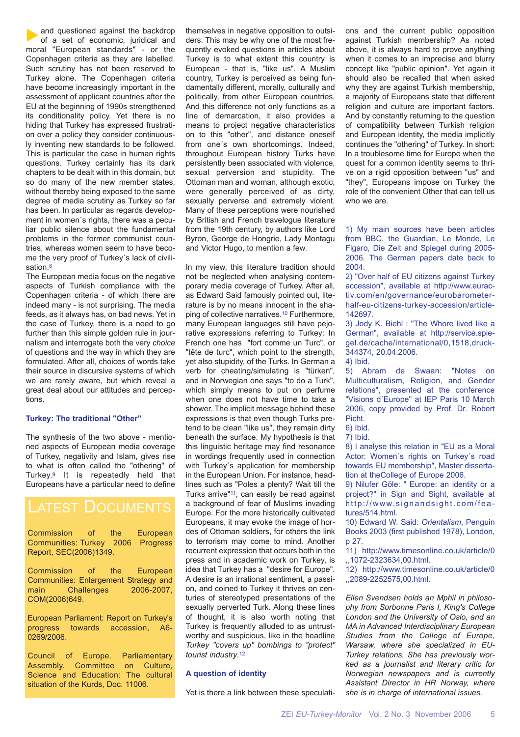and questioned against the backdrop of a set of economic, juridical and moral "European standards" - or the Copenhagen criteria as they are labelled. Such scrutiny has not been reserved to Turkey alone. The Copenhagen criteria have become increasingly important in the assessment of applicant countries after the EU at the beginning of 1990s strengthened its conditionality policy. Yet there is no hiding that Turkey has expressed frustration over a policy they consider continuously inventing new standards to be followed. This is particular the case in human rights questions. Turkey certainly has its dark chapters to be dealt with in this domain, but so do many of the new member states, without thereby being exposed to the same degree of media scrutiny as Turkey so far has been. In particular as regards development in women´s rights, there was a peculiar public silence about the fundamental problems in the former communist countries, whereas women seem to have become the very proof of Turkey´s lack of civilisation 8

The European media focus on the negative aspects of Turkish compliance with the Copenhagen criteria - of which there are indeed many - is not surprising. The media feeds, as it always has, on bad news. Yet in the case of Turkey, there is a need to go further than this simple golden rule in journalism and interrogate both the very *choice* of questions and the way in which they are formulated. After all, choices of words take their source in discursive systems of which we are rarely aware, but which reveal a great deal about our attitudes and perceptions.

### **Turkey: The traditional "Other"**

The synthesis of the two above - mentioned aspects of European media coverage of Turkey, negativity and Islam, gives rise to what is often called the "othering" of Turkey.9 It is repeatedly held that Europeans have a particular need to define

### LATEST DOCUMENTS

Commission of the European Communities: Turkey 2006 Progress Report, SEC(2006)1349.

Commission of the European Communities: Enlargement Strategy and main Challenges 2006-2007, COM(2006)649.

European Parliament: Report on Turkey's progress towards accession, A6- 0269/2006.

Council of Europe. Parliamentary Assembly. Committee on Culture, Science and Education: The cultural situation of the Kurds, Doc. 11006.

themselves in negative opposition to outsiders. This may be why one of the most frequently evoked questions in articles about Turkey is to what extent this country is European - that is, "like us". A Muslim country, Turkey is perceived as being fundamentally different, morally, culturally and politically, from other European countries. And this difference not only functions as a line of demarcation, it also provides a means to project negative characteristics on to this "other", and distance oneself from one´s own shortcomings. Indeed, throughout European history Turks have persistently been associated with violence, sexual perversion and stupidity. The Ottoman man and woman, although exotic, were generally perceived of as dirty, sexually perverse and extremely violent. Many of these perceptions were nourished by British and French travelogue literature from the 19th century, by authors like Lord Byron, George de Hongrie, Lady Montagu and Victor Hugo, to mention a few.

In my view, this literature tradition should not be neglected when analysing contemporary media coverage of Turkey. After all, as Edward Said famously pointed out, literature is by no means innocent in the shaping of collective narratives.10 Furthermore, many European languages still have pejorative expressions referring to Turkey: In French one has "fort comme un Turc", or "tête de turc", which point to the strength, yet also stupidity, of the Turks. In German a verb for cheating/simulating is "türken", and in Norwegian one says "to do a Turk", which simply means to put on perfume when one does not have time to take a shower. The implicit message behind these expressions is that even though Turks pretend to be clean "like us", they remain dirty beneath the surface. My hypothesis is that this linguistic heritage may find resonance in wordings frequently used in connection with Turkey´s application for membership in the European Union. For instance, headlines such as "Poles a plenty? Wait till the Turks arrive"11, can easily be read against a background of fear of Muslims invading Europe. For the more historically cultivated Europeans, it may evoke the image of hordes of Ottoman soldiers, for others the link to terrorism may come to mind. Another recurrent expression that occurs both in the press and in academic work on Turkey, is idea that Turkey has a "desire for Europe". A desire is an irrational sentiment, a passion, and coined to Turkey it thrives on centuries of stereotyped presentations of the sexually perverted Turk. Along these lines of thought, it is also worth noting that Turkey is frequently alluded to as untrustworthy and suspicious, like in the headline *Turkey "covers up" bombings to "protect" tourist industry*.12

### **A question of identity**

Yet is there a link between these speculati-

ons and the current public opposition against Turkish membership? As noted above, it is always hard to prove anything when it comes to an imprecise and blurry concept like "public opinion". Yet again it should also be recalled that when asked why they are against Turkish membership, a majority of Europeans state that different religion and culture are important factors. And by constantly returning to the question of compatibility between Turkish religion and European identity, the media implicitly continues the "othering" of Turkey. In short: In a troublesome time for Europe when the quest for a common identity seems to thrive on a rigid opposition between "us" and "they", Europeans impose on Turkey the role of the convenient Other that can tell us  $who$  we are.

1) My main sources have been articles from BBC, the Guardian, Le Monde, Le Figaro, Die Zeit and Spiegel during 2005- 2006. The German papers date back to 2004.

2) "Over half of EU citizens against Turkey accession", available at http://www.euractiv.com/en/governance/eurobarometerhalf-eu-citizens-turkey-accession/article-142697.

3) Jody K. Biehl : "The Whore lived like a German", available at http://service.spiegel.de/cache/international/0,1518,druck-344374, 20.04.2006.

4) Ibid.

5) Abram de Swaan: "Notes on Multiculturalism, Religion, and Gender relations", presented at the conference "Visions d´Europe" at IEP Paris 10 March 2006, copy provided by Prof. Dr. Robert Picht.

6) Ibid.

7) Ibid.

8) I analyse this relation in "EU as a Moral Actor: Women's rights on Turkey's road towards EU membership", Master dissertation at theCollege of Europe 2006.

9) Nilufer Göle: " Europe: an identity or a project?" in Sign and Sight, available at http://www.signandsight.com/features/514.html.

10) Edward W. Said: *Orientalism*, Penguin Books 2003 (first published 1978), London, p 27.

11) http://www.timesonline.co.uk/article/0 ,,1072-2323634,00.html.

12) http://www.timesonline.co.uk/article/0 ,,2089-2252575,00.html.

*Ellen Svendsen holds an Mphil in philosophy from Sorbonne Paris I, King's College London and the University of Oslo, and an MA in Advanced Interdisciplinary European Studies from the College of Europe, Warsaw, where she specialized in EU-Turkey relations. She has previously worked as a journalist and literary critic for Norwegian newspapers and is currently Assistant Director in HR Norway, where she is in charge of international issues.*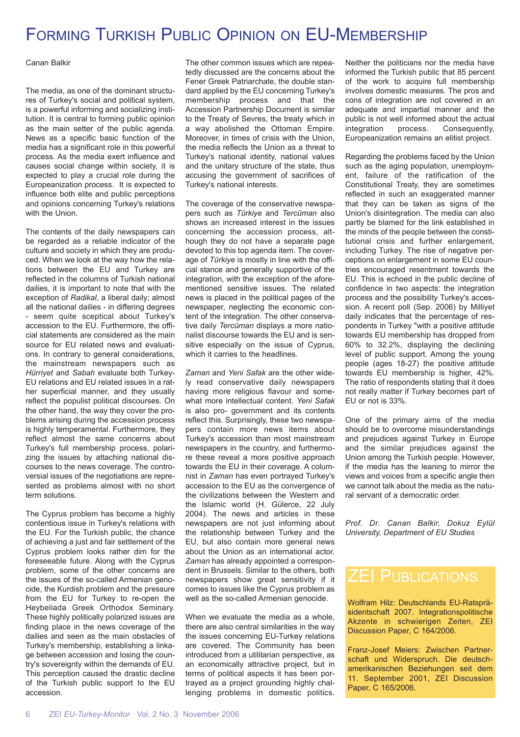# FORMING TURKISH PUBLIC OPINION ON EU-MEMBERSHIP

Canan Balkir

The media, as one of the dominant structures of Turkey's social and political system, is a powerful informing and socializing institution. It is central to forming public opinion as the main setter of the public agenda. News as a specific basic function of the media has a significant role in this powerful process. As the media exert influence and causes social change within society, it is expected to play a crucial role during the Europeanization process. It is expected to influence both elite and public perceptions and opinions concerning Turkey's relations with the Union.

The contents of the daily newspapers can be regarded as a reliable indicator of the culture and society in which they are produced. When we look at the way how the relations between the EU and Turkey are reflected in the columns of Turkish national dailies, it is important to note that with the exception of *Radikal*, a liberal daily; almost all the national dailies - in differing degrees - seem quite sceptical about Turkey's accession to the EU. Furthermore, the official statements are considered as the main source for EU related news and evaluations. In contrary to general considerations, the mainstream newspapers such as *Hürriyet* and *Sabah* evaluate both Turkey-EU relations and EU related issues in a rather superficial manner, and they usually reflect the populist political discourses. On the other hand, the way they cover the problems arising during the accession process is highly temperamental. Furthermore, they reflect almost the same concerns about Turkey's full membership process, polarizing the issues by attaching national discourses to the news coverage. The controversial issues of the negotiations are represented as problems almost with no short term solutions.

The Cyprus problem has become a highly contentious issue in Turkey's relations with the EU. For the Turkish public, the chance of achieving a just and fair settlement of the Cyprus problem looks rather dim for the foreseeable future. Along with the Cyprus problem, some of the other concerns are the issues of the so-called Armenian genocide, the Kurdish problem and the pressure from the EU for Turkey to re-open the Heybeliada Greek Orthodox Seminary. These highly politically polarized issues are finding place in the news coverage of the dailies and seen as the main obstacles of Turkey's membership, establishing a linkage between accession and losing the country's sovereignty within the demands of EU. This perception caused the drastic decline of the Turkish public support to the EU accession.

The other common issues which are repeatedly discussed are the concerns about the Fener Greek Patriarchate, the double standard applied by the EU concerning Turkey's membership process and that the Accession Partnership Document is similar to the Treaty of Sevres, the treaty which in a way abolished the Ottoman Empire. Moreover, in times of crisis with the Union, the media reflects the Union as a threat to Turkey's national identity, national values and the unitary structure of the state, thus accusing the government of sacrifices of Turkey's national interests.

The coverage of the conservative newspapers such as *Türkiye* and *Tercüman* also shows an increased interest in the issues concerning the accession process, although they do not have a separate page devoted to this top agenda item. The coverage of *Türkiye* is mostly in line with the official stance and generally supportive of the integration, with the exception of the aforementioned sensitive issues. The related news is placed in the political pages of the newspaper, neglecting the economic content of the integration. The other conservative daily *Tercüman* displays a more nationalist discourse towards the EU and is sensitive especially on the issue of Cyprus, which it carries to the headlines.

*Zaman* and *Yeni Safak* are the other widely read conservative daily newspapers having more religious flavour and somewhat more intellectual content. *Yeni Safak* is also pro- government and its contents reflect this. Surprisingly, these two newspapers contain more news items about Turkey's accession than most mainstream newspapers in the country, and furthermore these reveal a more positive approach towards the EU in their coverage. A columnist in *Zaman* has even portrayed Turkey's accession to the EU as the convergence of the civilizations between the Western and the Islamic world (H. Gülerce, 22 July 2004). The news and articles in these newspapers are not just informing about the relationship between Turkey and the EU, but also contain more general news about the Union as an international actor. *Zaman* has already appointed a correspondent in Brussels. Similar to the others, both newspapers show great sensitivity if it comes to issues like the Cyprus problem as well as the so-called Armenian genocide.

When we evaluate the media as a whole. there are also central similarities in the way the issues concerning EU-Turkey relations are covered. The Community has been introduced from a utilitarian perspective, as an economically attractive project, but in terms of political aspects it has been portrayed as a project grounding highly challenging problems in domestic politics.

Neither the politicians nor the media have informed the Turkish public that 85 percent of the work to acquire full membership involves domestic measures. The pros and cons of integration are not covered in an adequate and impartial manner and the public is not well informed about the actual integration process. Consequently, Europeanization remains an elitist project.

Regarding the problems faced by the Union such as the aging population, unemployment, failure of the ratification of the Constitutional Treaty, they are sometimes reflected in such an exaggerated manner that they can be taken as signs of the Union's disintegration. The media can also partly be blamed for the link established in the minds of the people between the constitutional crisis and further enlargement, including Turkey. The rise of negative perceptions on enlargement in some EU countries encouraged resentment towards the EU. This is echoed in the public decline of confidence in two aspects: the integration process and the possibility Turkey's accession. A recent poll (Sep. 2006) by Milliyet daily indicates that the percentage of respondents in Turkey "with a positive attitude towards EU membership has dropped from 60% to 32.2%, displaying the declining level of public support. Among the young people (ages 18-27) the positive attitude towards EU membership is higher, 42%. The ratio of respondents stating that it does not really matter if Turkey becomes part of EU or not is 33%.

One of the primary aims of the media should be to overcome misunderstandings and prejudices against Turkey in Europe and the similar prejudices against the Union among the Turkish people. However, if the media has the leaning to mirror the views and voices from a specific angle then we cannot talk about the media as the natural servant of a democratic order.

*Prof. Dr. Canan Balkir, Dokuz Eylül University, Department of EU Studies*

## **ZEI PUBLICATIONS**

Wolfram Hilz: Deutschlands EU-Ratspräsidentschaft 2007. Integrationspolitische Akzente in schwierigen Zeiten, ZEI Discussion Paper, C 164/2006.

Franz-Josef Meiers: Zwischen Partnerschaft und Widerspruch. Die deutschamerikanischen Beziehungen seit dem 11. September 2001, ZEI Discussion Paper, C 165/2006.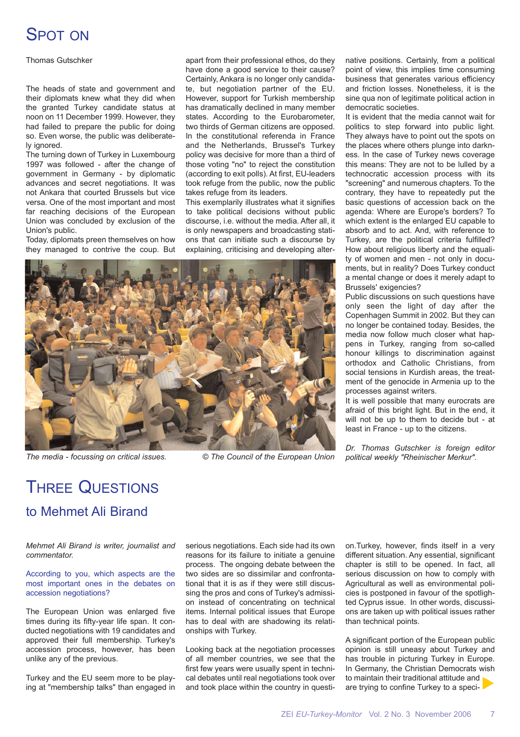# SPOT ON

Thomas Gutschker

The heads of state and government and their diplomats knew what they did when the granted Turkey candidate status at noon on 11 December 1999. However, they had failed to prepare the public for doing so. Even worse, the public was deliberately ignored.

The turning down of Turkey in Luxembourg 1997 was followed - after the change of government in Germany - by diplomatic advances and secret negotiations. It was not Ankara that courted Brussels but vice versa. One of the most important and most far reaching decisions of the European Union was concluded by exclusion of the Union's public.

Today, diplomats preen themselves on how they managed to contrive the coup. But apart from their professional ethos, do they have done a good service to their cause? Certainly, Ankara is no longer only candidate, but negotiation partner of the EU. However, support for Turkish membership has dramatically declined in many member states. According to the Eurobarometer, two thirds of German citizens are opposed. In the constitutional referenda in France and the Netherlands, Brussel's Turkey policy was decisive for more than a third of those voting "no" to reject the constitution (according to exit polls). At first, EU-leaders took refuge from the public, now the public takes refuge from its leaders.

This exemplarily illustrates what it signifies to take political decisions without public discourse, i.e. without the media. After all, it is only newspapers and broadcasting stations that can initiate such a discourse by explaining, criticising and developing alter-



*The media - focussing on critical issues. © The Council of the European Union political weekly "Rheinischer Merkur".*

native positions. Certainly, from a political point of view, this implies time consuming business that generates various efficiency and friction losses. Nonetheless, it is the sine qua non of legitimate political action in democratic societies.

It is evident that the media cannot wait for politics to step forward into public light. They always have to point out the spots on the places where others plunge into darkness. In the case of Turkey news coverage this means: They are not to be lulled by a technocratic accession process with its "screening" and numerous chapters. To the contrary, they have to repeatedly put the basic questions of accession back on the agenda: Where are Europe's borders? To which extent is the enlarged EU capable to absorb and to act. And, with reference to Turkey, are the political criteria fulfilled? How about religious liberty and the equality of women and men - not only in documents, but in reality? Does Turkey conduct a mental change or does it merely adapt to Brussels' exigencies?

Public discussions on such questions have only seen the light of day after the Copenhagen Summit in 2002. But they can no longer be contained today. Besides, the media now follow much closer what happens in Turkey, ranging from so-called honour killings to discrimination against orthodox and Catholic Christians, from social tensions in Kurdish areas, the treatment of the genocide in Armenia up to the processes against writers.

It is well possible that many eurocrats are afraid of this bright light. But in the end, it will not be up to them to decide but - at least in France - up to the citizens.

*Dr. Thomas Gutschker is foreign editor*

# THREE QUESTIONS to Mehmet Ali Birand

*Mehmet Ali Birand is writer, journalist and commentator.*

According to you, which aspects are the most important ones in the debates on accession negotiations?

The European Union was enlarged five times during its fifty-year life span. It conducted negotiations with 19 candidates and approved their full membership. Turkey's accession process, however, has been unlike any of the previous.

Turkey and the EU seem more to be playing at "membership talks" than engaged in serious negotiations. Each side had its own reasons for its failure to initiate a genuine process. The ongoing debate between the two sides are so dissimilar and confrontational that it is as if they were still discussing the pros and cons of Turkey's admission instead of concentrating on technical items. Internal political issues that Europe has to deal with are shadowing its relationships with Turkey.

Looking back at the negotiation processes of all member countries, we see that the first few years were usually spent in technical debates until real negotiations took over and took place within the country in question.Turkey, however, finds itself in a very different situation. Any essential, significant chapter is still to be opened. In fact, all serious discussion on how to comply with Agricultural as well as environmental policies is postponed in favour of the spotlighted Cyprus issue. In other words, discussions are taken up with political issues rather than technical points.

A significant portion of the European public opinion is still uneasy about Turkey and has trouble in picturing Turkey in Europe. In Germany, the Christian Democrats wish to maintain their traditional attitude and are trying to confine Turkey to a speci-